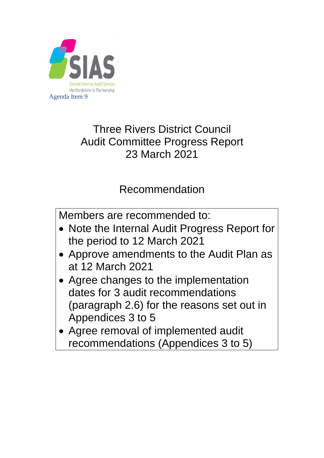

# Three Rivers District Council Audit Committee Progress Report 23 March 2021

# Recommendation

Members are recommended to:

- Note the Internal Audit Progress Report for the period to 12 March 2021
- Approve amendments to the Audit Plan as at 12 March 2021
- Agree changes to the implementation dates for 3 audit recommendations (paragraph 2.6) for the reasons set out in Appendices 3 to 5
- Agree removal of implemented audit recommendations (Appendices 3 to 5)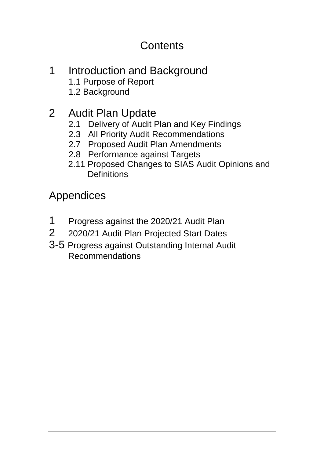# **Contents**

1 Introduction and Background 1.1 Purpose of Report 1.2 Background

# 2 Audit Plan Update

- 2.1 Delivery of Audit Plan and Key Findings
- 2.3 All Priority Audit Recommendations
- 2.7 Proposed Audit Plan Amendments
- 2.8 Performance against Targets
- 2.11 Proposed Changes to SIAS Audit Opinions and **Definitions**

Appendices

- 1 Progress against the 2020/21 Audit Plan
- 2 2020/21 Audit Plan Projected Start Dates
- 3-5 Progress against Outstanding Internal Audit Recommendations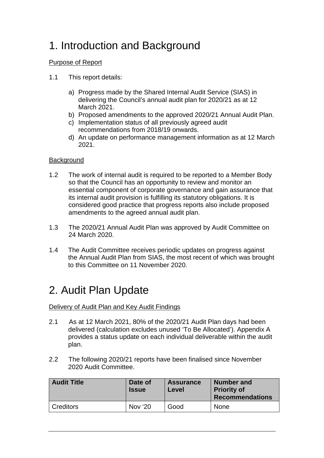# 1. Introduction and Background

### Purpose of Report

- 1.1 This report details:
	- a) Progress made by the Shared Internal Audit Service (SIAS) in delivering the Council's annual audit plan for 2020/21 as at 12 March 2021.
	- b) Proposed amendments to the approved 2020/21 Annual Audit Plan.
	- c) Implementation status of all previously agreed audit recommendations from 2018/19 onwards.
	- d) An update on performance management information as at 12 March 2021.

### **Background**

- 1.2 The work of internal audit is required to be reported to a Member Body so that the Council has an opportunity to review and monitor an essential component of corporate governance and gain assurance that its internal audit provision is fulfilling its statutory obligations. It is considered good practice that progress reports also include proposed amendments to the agreed annual audit plan.
- 1.3 The 2020/21 Annual Audit Plan was approved by Audit Committee on 24 March 2020.
- 1.4 The Audit Committee receives periodic updates on progress against the Annual Audit Plan from SIAS, the most recent of which was brought to this Committee on 11 November 2020.

# 2. Audit Plan Update

Delivery of Audit Plan and Key Audit Findings

- 2.1 As at 12 March 2021, 80% of the 2020/21 Audit Plan days had been delivered (calculation excludes unused 'To Be Allocated'). Appendix A provides a status update on each individual deliverable within the audit plan.
- 2.2 The following 2020/21 reports have been finalised since November 2020 Audit Committee.

| <b>Audit Title</b> | Date of<br><b>Issue</b> | <b>Assurance</b><br>Level | <b>Number and</b><br><b>Priority of</b><br><b>Recommendations</b> |  |
|--------------------|-------------------------|---------------------------|-------------------------------------------------------------------|--|
| Creditors          | Nov '20                 | Good                      | None                                                              |  |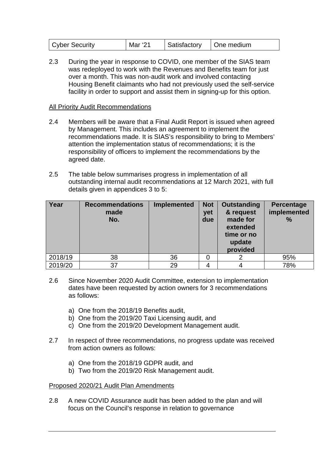| Cyber Security | Mar '21 | Satisfactory | One medium |
|----------------|---------|--------------|------------|
|----------------|---------|--------------|------------|

2.3 During the year in response to COVID, one member of the SIAS team was redeployed to work with the Revenues and Benefits team for just over a month. This was non-audit work and involved contacting Housing Benefit claimants who had not previously used the self-service facility in order to support and assist them in signing-up for this option.

#### All Priority Audit Recommendations

- 2.4 Members will be aware that a Final Audit Report is issued when agreed by Management. This includes an agreement to implement the recommendations made. It is SIAS's responsibility to bring to Members' attention the implementation status of recommendations; it is the responsibility of officers to implement the recommendations by the agreed date.
- 2.5 The table below summarises progress in implementation of all outstanding internal audit recommendations at 12 March 2021, with full details given in appendices 3 to 5:

| Year    | <b>Recommendations</b><br>made<br>No. | <b>Implemented</b> | <b>Not</b><br>yet<br>due | Outstanding<br>& request<br>made for<br>extended<br>time or no<br>update<br>provided | <b>Percentage</b><br>implemented<br>$\frac{9}{6}$ |
|---------|---------------------------------------|--------------------|--------------------------|--------------------------------------------------------------------------------------|---------------------------------------------------|
| 2018/19 | 38                                    | 36                 |                          |                                                                                      | 95%                                               |
| 2019/20 | 37                                    | 29                 |                          |                                                                                      | 78%                                               |

- 2.6 Since November 2020 Audit Committee, extension to implementation dates have been requested by action owners for 3 recommendations as follows:
	- a) One from the 2018/19 Benefits audit,
	- b) One from the 2019/20 Taxi Licensing audit, and
	- c) One from the 2019/20 Development Management audit.
- 2.7 In respect of three recommendations, no progress update was received from action owners as follows:
	- a) One from the 2018/19 GDPR audit, and
	- b) Two from the 2019/20 Risk Management audit.

#### Proposed 2020/21 Audit Plan Amendments

2.8 A new COVID Assurance audit has been added to the plan and will focus on the Council's response in relation to governance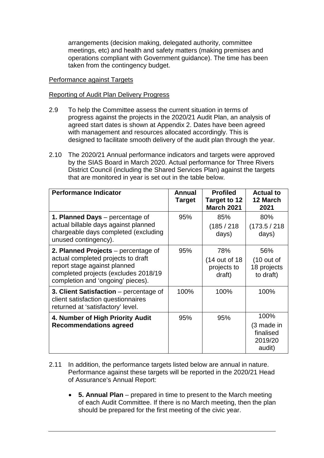arrangements (decision making, delegated authority, committee meetings, etc) and health and safety matters (making premises and operations compliant with Government guidance). The time has been taken from the contingency budget.

#### Performance against Targets

#### Reporting of Audit Plan Delivery Progress

- 2.9 To help the Committee assess the current situation in terms of progress against the projects in the 2020/21 Audit Plan, an analysis of agreed start dates is shown at Appendix 2. Dates have been agreed with management and resources allocated accordingly. This is designed to facilitate smooth delivery of the audit plan through the year.
- 2.10 The 2020/21 Annual performance indicators and targets were approved by the SIAS Board in March 2020. Actual performance for Three Rivers District Council (including the Shared Services Plan) against the targets that are monitored in year is set out in the table below.

| <b>Performance Indicator</b>                                                                                                                                                           | <b>Annual</b><br><b>Target</b> | <b>Profiled</b><br>Target to 12<br><b>March 2021</b> | <b>Actual to</b><br>12 March<br>2021                     |
|----------------------------------------------------------------------------------------------------------------------------------------------------------------------------------------|--------------------------------|------------------------------------------------------|----------------------------------------------------------|
| 1. Planned Days – percentage of<br>actual billable days against planned<br>chargeable days completed (excluding<br>unused contingency).                                                | 95%                            | 85%<br>(185 / 218<br>days)                           | 80%<br>(173.5 / 218)<br>days)                            |
| 2. Planned Projects – percentage of<br>actual completed projects to draft<br>report stage against planned<br>completed projects (excludes 2018/19<br>completion and 'ongoing' pieces). | 95%                            | 78%<br>(14 out of 18)<br>projects to<br>draft)       | 56%<br>$(10 \text{ out of})$<br>18 projects<br>to draft) |
| 3. Client Satisfaction – percentage of<br>client satisfaction questionnaires<br>returned at 'satisfactory' level.                                                                      | 100%                           | 100%                                                 | 100%                                                     |
| 4. Number of High Priority Audit<br><b>Recommendations agreed</b>                                                                                                                      | 95%                            | 95%                                                  | 100%<br>(3 made in<br>finalised<br>2019/20<br>audit)     |

- 2.11 In addition, the performance targets listed below are annual in nature. Performance against these targets will be reported in the 2020/21 Head of Assurance's Annual Report:
	- **5. Annual Plan** prepared in time to present to the March meeting of each Audit Committee. If there is no March meeting, then the plan should be prepared for the first meeting of the civic year.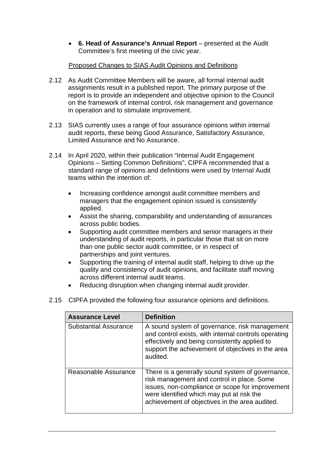• **6. Head of Assurance's Annual Report** – presented at the Audit Committee's first meeting of the civic year.

### Proposed Changes to SIAS Audit Opinions and Definitions

- 2.12 As Audit Committee Members will be aware, all formal internal audit assignments result in a published report. The primary purpose of the report is to provide an independent and objective opinion to the Council on the framework of internal control, risk management and governance in operation and to stimulate improvement.
- 2.13 SIAS currently uses a range of four assurance opinions within internal audit reports, these being Good Assurance, Satisfactory Assurance, Limited Assurance and No Assurance.
- 2.14 In April 2020, within their publication "Internal Audit Engagement Opinions – Setting Common Definitions", CIPFA recommended that a standard range of opinions and definitions were used by Internal Audit teams within the intention of:
	- Increasing confidence amongst audit committee members and managers that the engagement opinion issued is consistently applied.
	- Assist the sharing, comparability and understanding of assurances across public bodies.
	- Supporting audit committee members and senior managers in their understanding of audit reports, in particular those that sit on more than one public sector audit committee, or in respect of partnerships and joint ventures.
	- Supporting the training of internal audit staff, helping to drive up the quality and consistency of audit opinions, and facilitate staff moving across different internal audit teams.
	- Reducing disruption when changing internal audit provider.
- 2.15 CIPFA provided the following four assurance opinions and definitions.

| <b>Assurance Level</b>       | <b>Definition</b>                                                                                                                                                                                                                                |
|------------------------------|--------------------------------------------------------------------------------------------------------------------------------------------------------------------------------------------------------------------------------------------------|
| <b>Substantial Assurance</b> | A sound system of governance, risk management<br>and control exists, with internal controls operating<br>effectively and being consistently applied to<br>support the achievement of objectives in the area<br>audited.                          |
| Reasonable Assurance         | There is a generally sound system of governance,<br>risk management and control in place. Some<br>issues, non-compliance or scope for improvement<br>were identified which may put at risk the<br>achievement of objectives in the area audited. |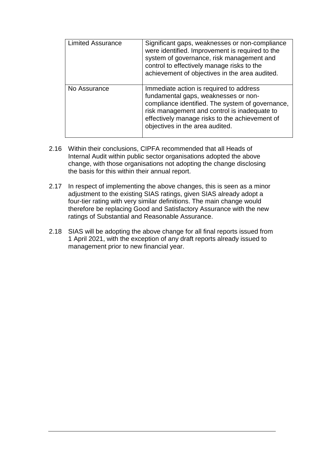| <b>Limited Assurance</b> | Significant gaps, weaknesses or non-compliance<br>were identified. Improvement is required to the<br>system of governance, risk management and<br>control to effectively manage risks to the<br>achievement of objectives in the area audited.                           |
|--------------------------|--------------------------------------------------------------------------------------------------------------------------------------------------------------------------------------------------------------------------------------------------------------------------|
| No Assurance             | Immediate action is required to address<br>fundamental gaps, weaknesses or non-<br>compliance identified. The system of governance,<br>risk management and control is inadequate to<br>effectively manage risks to the achievement of<br>objectives in the area audited. |

- 2.16 Within their conclusions, CIPFA recommended that all Heads of Internal Audit within public sector organisations adopted the above change, with those organisations not adopting the change disclosing the basis for this within their annual report.
- 2.17 In respect of implementing the above changes, this is seen as a minor adjustment to the existing SIAS ratings, given SIAS already adopt a four-tier rating with very similar definitions. The main change would therefore be replacing Good and Satisfactory Assurance with the new ratings of Substantial and Reasonable Assurance.
- 2.18 SIAS will be adopting the above change for all final reports issued from 1 April 2021, with the exception of any draft reports already issued to management prior to new financial year.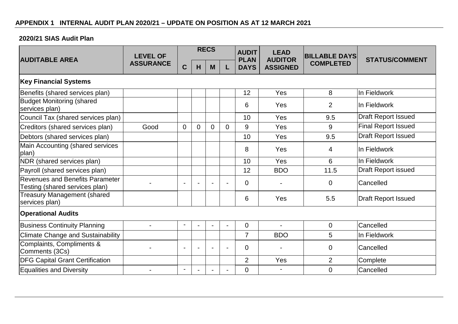### **2020/21 SIAS Audit Plan**

| <b>AUDITABLE AREA</b>                                                    | <b>LEVEL OF</b>  |                |                | <b>RECS</b>    |                | <b>AUDIT</b><br><b>PLAN</b> | <b>LEAD</b><br><b>AUDITOR</b> | <b>BILLABLE DAYS</b> | <b>STATUS/COMMENT</b>      |
|--------------------------------------------------------------------------|------------------|----------------|----------------|----------------|----------------|-----------------------------|-------------------------------|----------------------|----------------------------|
|                                                                          | <b>ASSURANCE</b> | $\mathbf C$    | H              | M              | L              | <b>DAYS</b>                 | <b>ASSIGNED</b>               | <b>COMPLETED</b>     |                            |
| <b>Key Financial Systems</b>                                             |                  |                |                |                |                |                             |                               |                      |                            |
| Benefits (shared services plan)                                          |                  |                |                |                |                | 12                          | Yes                           | 8                    | In Fieldwork               |
| <b>Budget Monitoring (shared</b><br>services plan)                       |                  |                |                |                |                | 6                           | Yes                           | $\overline{2}$       | In Fieldwork               |
| Council Tax (shared services plan)                                       |                  |                |                |                |                | 10                          | Yes                           | 9.5                  | <b>Draft Report Issued</b> |
| Creditors (shared services plan)                                         | Good             | $\mathbf{0}$   | $\overline{0}$ | $\overline{0}$ | $\Omega$       | 9                           | Yes                           | 9                    | <b>Final Report Issued</b> |
| Debtors (shared services plan)                                           |                  |                |                |                |                | 10                          | Yes                           | 9.5                  | <b>Draft Report Issued</b> |
| Main Accounting (shared services<br>plan)                                |                  |                |                |                |                | 8                           | Yes                           | 4                    | In Fieldwork               |
| NDR (shared services plan)                                               |                  |                |                |                |                | 10                          | Yes                           | 6                    | In Fieldwork               |
| Payroll (shared services plan)                                           |                  |                |                |                |                | 12                          | <b>BDO</b>                    | 11.5                 | Draft Report issued        |
| <b>Revenues and Benefits Parameter</b><br>Testing (shared services plan) |                  |                |                |                |                | $\Omega$                    |                               | $\overline{0}$       | Cancelled                  |
| <b>Treasury Management (shared</b><br>services plan)                     |                  |                |                |                |                | 6                           | Yes                           | 5.5                  | <b>Draft Report Issued</b> |
| <b>Operational Audits</b>                                                |                  |                |                |                |                |                             |                               |                      |                            |
| <b>Business Continuity Planning</b>                                      |                  | $\blacksquare$ | $\blacksquare$ | $\blacksquare$ | $\blacksquare$ | $\overline{0}$              | $\overline{a}$                | $\overline{0}$       | Cancelled                  |
| <b>Climate Change and Sustainability</b>                                 |                  |                |                |                |                | $\overline{7}$              | <b>BDO</b>                    | 5                    | In Fieldwork               |
| Complaints, Compliments &<br>Comments (3Cs)                              |                  |                |                |                |                | $\overline{0}$              |                               | $\mathbf 0$          | Cancelled                  |
| <b>DFG Capital Grant Certification</b>                                   |                  |                |                |                |                | $\overline{2}$              | Yes                           | $\overline{2}$       | Complete                   |
| <b>Equalities and Diversity</b>                                          |                  |                |                |                |                | $\Omega$                    |                               | $\overline{0}$       | Cancelled                  |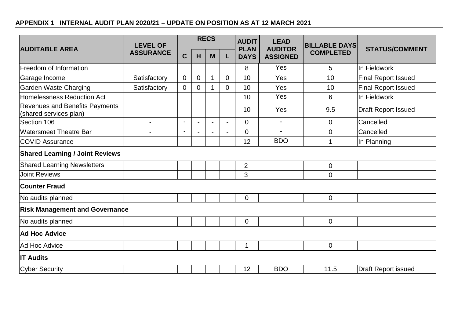## **APPENDIX 1 INTERNAL AUDIT PLAN 2020/21 – UPDATE ON POSITION AS AT 12 MARCH 2021**

| <b>AUDITABLE AREA</b>                                    | <b>LEVEL OF</b>  |                          |                | <b>RECS</b> |                | <b>AUDIT</b><br><b>PLAN</b> | <b>LEAD</b><br><b>AUDITOR</b><br><b>ASSIGNED</b> | <b>BILLABLE DAYS</b><br><b>COMPLETED</b> | <b>STATUS/COMMENT</b>      |
|----------------------------------------------------------|------------------|--------------------------|----------------|-------------|----------------|-----------------------------|--------------------------------------------------|------------------------------------------|----------------------------|
|                                                          | <b>ASSURANCE</b> | $\mathbf C$              | H              | M           | L              | <b>DAYS</b>                 |                                                  |                                          |                            |
| Freedom of Information                                   |                  |                          |                |             |                | 8                           | Yes                                              | 5                                        | In Fieldwork               |
| Garage Income                                            | Satisfactory     | $\overline{0}$           | 0              | 1           | $\overline{0}$ | 10                          | Yes                                              | 10                                       | <b>Final Report Issued</b> |
| Garden Waste Charging                                    | Satisfactory     | $\overline{0}$           | 0              | 1           | $\Omega$       | 10                          | Yes                                              | 10                                       | <b>Final Report Issued</b> |
| <b>Homelessness Reduction Act</b>                        |                  |                          |                |             |                | 10                          | Yes                                              | 6                                        | In Fieldwork               |
| Revenues and Benefits Payments<br>(shared services plan) |                  |                          |                |             |                | 10                          | Yes                                              | 9.5                                      | <b>Draft Report Issued</b> |
| Section 106                                              | $\overline{a}$   | $\overline{\phantom{a}}$ | $\sim$         |             |                | $\Omega$                    | $\blacksquare$                                   | $\mathbf 0$                              | Cancelled                  |
| <b>Watersmeet Theatre Bar</b>                            | $\blacksquare$   | $\blacksquare$           | $\blacksquare$ |             |                | $\mathbf{0}$                | $\blacksquare$                                   | $\mathbf 0$                              | Cancelled                  |
| <b>COVID Assurance</b>                                   |                  |                          |                |             |                | 12                          | <b>BDO</b>                                       | 1                                        | In Planning                |
| <b>Shared Learning / Joint Reviews</b>                   |                  |                          |                |             |                |                             |                                                  |                                          |                            |
| <b>Shared Learning Newsletters</b>                       |                  |                          |                |             |                | $\overline{2}$              |                                                  | $\mathbf 0$                              |                            |
| <b>Joint Reviews</b>                                     |                  |                          |                |             |                | 3                           |                                                  | $\overline{0}$                           |                            |
| <b>Counter Fraud</b>                                     |                  |                          |                |             |                |                             |                                                  |                                          |                            |
| No audits planned                                        |                  |                          |                |             |                | $\mathbf 0$                 |                                                  | $\mathbf 0$                              |                            |
| <b>Risk Management and Governance</b>                    |                  |                          |                |             |                |                             |                                                  |                                          |                            |
| No audits planned                                        |                  |                          |                |             |                | $\overline{0}$              |                                                  | $\overline{0}$                           |                            |
| <b>Ad Hoc Advice</b>                                     |                  |                          |                |             |                |                             |                                                  |                                          |                            |
| Ad Hoc Advice                                            |                  |                          |                |             |                | 1                           |                                                  | $\mathbf 0$                              |                            |
| <b>IT Audits</b>                                         |                  |                          |                |             |                |                             |                                                  |                                          |                            |
| <b>Cyber Security</b>                                    |                  |                          |                |             |                | 12                          | <b>BDO</b>                                       | 11.5                                     | Draft Report issued        |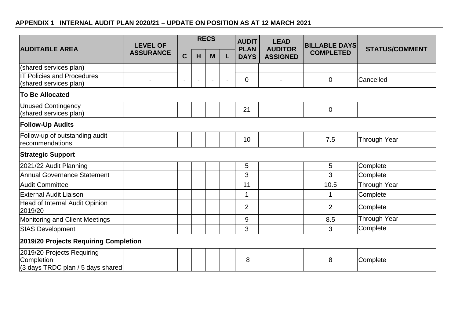## **APPENDIX 1 INTERNAL AUDIT PLAN 2020/21 – UPDATE ON POSITION AS AT 12 MARCH 2021**

| <b>AUDITABLE AREA</b>                                                          | <b>LEVEL OF</b>  |             |                          | <b>RECS</b> |   | <b>AUDIT</b><br><b>PLAN</b> | <b>LEAD</b><br><b>AUDITOR</b><br><b>ASSIGNED</b> | <b>BILLABLE DAYS</b> | <b>STATUS/COMMENT</b> |
|--------------------------------------------------------------------------------|------------------|-------------|--------------------------|-------------|---|-----------------------------|--------------------------------------------------|----------------------|-----------------------|
|                                                                                | <b>ASSURANCE</b> | $\mathbf C$ | H                        | M           | L | <b>DAYS</b>                 |                                                  | <b>COMPLETED</b>     |                       |
| (shared services plan)                                                         |                  |             |                          |             |   |                             |                                                  |                      |                       |
| <b>IT Policies and Procedures</b><br>(shared services plan)                    |                  |             | $\overline{\phantom{0}}$ |             |   | $\overline{0}$              | $\blacksquare$                                   | $\overline{0}$       | Cancelled             |
| <b>To Be Allocated</b>                                                         |                  |             |                          |             |   |                             |                                                  |                      |                       |
| Unused Contingency<br>(shared services plan)                                   |                  |             |                          |             |   | 21                          |                                                  | $\overline{0}$       |                       |
| <b>Follow-Up Audits</b>                                                        |                  |             |                          |             |   |                             |                                                  |                      |                       |
| Follow-up of outstanding audit<br>recommendations                              |                  |             |                          |             |   | 10                          |                                                  | 7.5                  | <b>Through Year</b>   |
| <b>Strategic Support</b>                                                       |                  |             |                          |             |   |                             |                                                  |                      |                       |
| 2021/22 Audit Planning                                                         |                  |             |                          |             |   | 5                           |                                                  | 5                    | Complete              |
| <b>Annual Governance Statement</b>                                             |                  |             |                          |             |   | 3                           |                                                  | 3                    | Complete              |
| <b>Audit Committee</b>                                                         |                  |             |                          |             |   | 11                          |                                                  | 10.5                 | <b>Through Year</b>   |
| <b>External Audit Liaison</b>                                                  |                  |             |                          |             |   | 1                           |                                                  | 1                    | Complete              |
| Head of Internal Audit Opinion<br>2019/20                                      |                  |             |                          |             |   | 2                           |                                                  | 2                    | Complete              |
| Monitoring and Client Meetings                                                 |                  |             |                          |             |   | 9                           |                                                  | 8.5                  | <b>Through Year</b>   |
| <b>SIAS Development</b>                                                        |                  |             |                          |             |   | 3                           |                                                  | 3                    | Complete              |
| 2019/20 Projects Requiring Completion                                          |                  |             |                          |             |   |                             |                                                  |                      |                       |
| 2019/20 Projects Requiring<br>Completion<br>(3 days TRDC plan / 5 days shared) |                  |             |                          |             |   | 8                           |                                                  | 8                    | Complete              |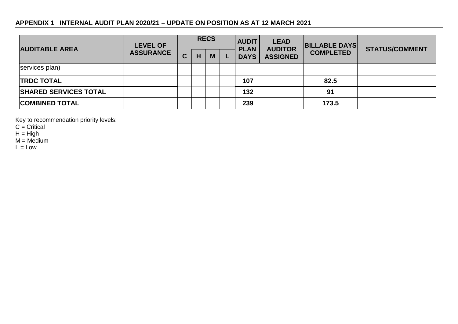### **APPENDIX 1 INTERNAL AUDIT PLAN 2020/21 – UPDATE ON POSITION AS AT 12 MARCH 2021**

| <b>AUDITABLE AREA</b>        | <b>LEVEL OF</b>  | <b>RECS</b> |   |   | <b>AUDIT</b><br><b>PLAN</b> | <b>LEAD</b><br><b>AUDITOR</b> | <b>BILLABLE DAYS</b> | <b>STATUS/COMMENT</b> |
|------------------------------|------------------|-------------|---|---|-----------------------------|-------------------------------|----------------------|-----------------------|
|                              | <b>ASSURANCE</b> | r<br>ັ      | н | M | <b>DAYS</b>                 | <b>ASSIGNED</b>               | <b>COMPLETED</b>     |                       |
| services plan)               |                  |             |   |   |                             |                               |                      |                       |
| <b>ITRDC TOTAL</b>           |                  |             |   |   | 107                         |                               | 82.5                 |                       |
| <b>SHARED SERVICES TOTAL</b> |                  |             |   |   | 132                         |                               | 91                   |                       |
| <b>COMBINED TOTAL</b>        |                  |             |   |   | 239                         |                               | 173.5                |                       |

Key to recommendation priority levels:

 $C =$  Critical

 $H = High$ 

 $M = \text{Median}$ 

 $L = Low$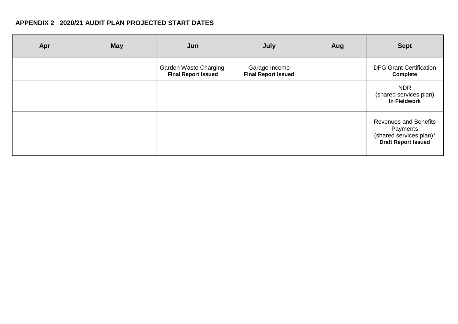### **APPENDIX 2 2020/21 AUDIT PLAN PROJECTED START DATES**

| Apr | <b>May</b> | Jun                                                 | July                                        | Aug | <b>Sept</b>                                                                                       |
|-----|------------|-----------------------------------------------------|---------------------------------------------|-----|---------------------------------------------------------------------------------------------------|
|     |            | Garden Waste Charging<br><b>Final Report Issued</b> | Garage Income<br><b>Final Report Issued</b> |     | <b>DFG Grant Certification</b><br><b>Complete</b>                                                 |
|     |            |                                                     |                                             |     | <b>NDR</b><br>(shared services plan)<br>In Fieldwork                                              |
|     |            |                                                     |                                             |     | <b>Revenues and Benefits</b><br>Payments<br>(shared services plan)*<br><b>Draft Report Issued</b> |